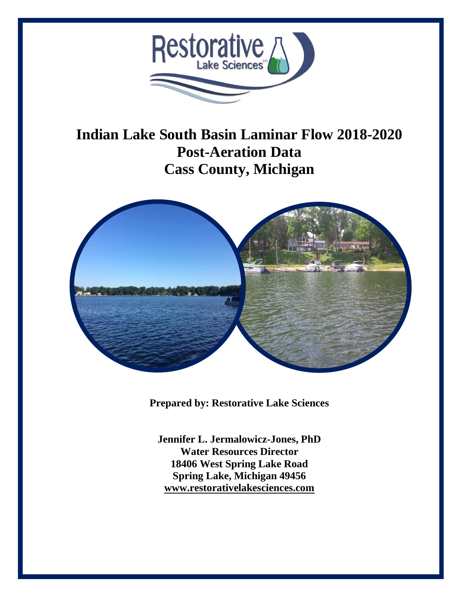

# **Indian Lake South Basin Laminar Flow 2018-2020 Post-Aeration Data Cass County, Michigan**



**Prepared by: Restorative Lake Sciences**

**Jennifer L. Jermalowicz-Jones, PhD Water Resources Director 18406 West Spring Lake Road Spring Lake, Michigan 49456 [www.restorativelakesciences.com](http://www.restorativelakesciences.com/)**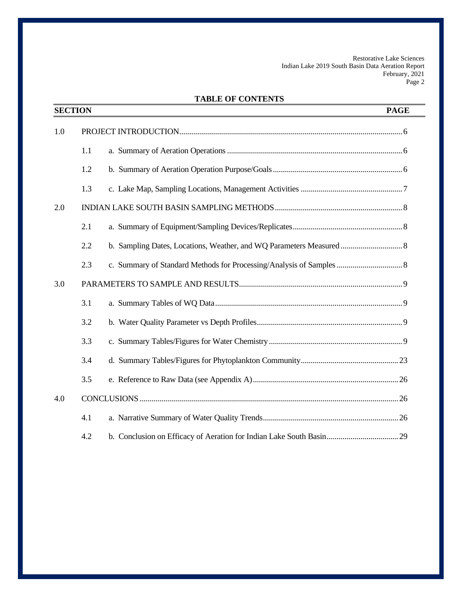# **TABLE OF CONTENTS**

|     | <b>SECTION</b> | <b>PAGE</b> |
|-----|----------------|-------------|
| 1.0 |                |             |
|     | 1.1            |             |
|     | 1.2            |             |
|     | 1.3            |             |
| 2.0 |                |             |
|     | 2.1            |             |
|     | 2.2            |             |
|     | 2.3            |             |
| 3.0 |                |             |
|     | 3.1            |             |
|     | 3.2            |             |
|     | 3.3            |             |
|     | 3.4            |             |
|     | 3.5            |             |
| 4.0 |                |             |
|     | 4.1            |             |
|     | 4.2            |             |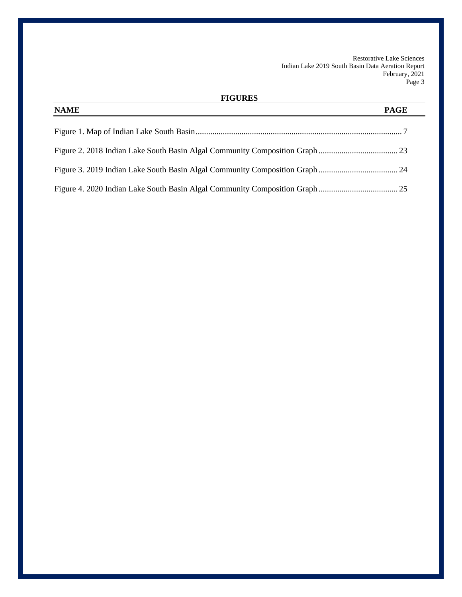# **FIGURES**

| <b>NAME</b> | <b>PAGE</b> |
|-------------|-------------|
|             |             |
|             |             |
|             |             |
|             |             |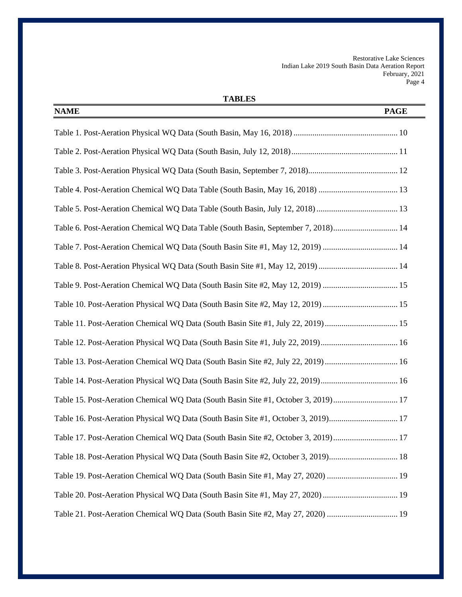| <b>NAME</b><br><b>PAGE</b>                                                         |
|------------------------------------------------------------------------------------|
|                                                                                    |
|                                                                                    |
|                                                                                    |
|                                                                                    |
| Table 5. Post-Aeration Chemical WQ Data Table (South Basin, July 12, 2018)  13     |
| Table 6. Post-Aeration Chemical WQ Data Table (South Basin, September 7, 2018) 14  |
| Table 7. Post-Aeration Chemical WQ Data (South Basin Site #1, May 12, 2019)  14    |
| Table 8. Post-Aeration Physical WQ Data (South Basin Site #1, May 12, 2019)  14    |
| Table 9. Post-Aeration Chemical WQ Data (South Basin Site #2, May 12, 2019)  15    |
| Table 10. Post-Aeration Physical WQ Data (South Basin Site #2, May 12, 2019)  15   |
| Table 11. Post-Aeration Chemical WQ Data (South Basin Site #1, July 22, 2019)  15  |
|                                                                                    |
| Table 13. Post-Aeration Chemical WQ Data (South Basin Site #2, July 22, 2019)  16  |
| Table 14. Post-Aeration Physical WQ Data (South Basin Site #2, July 22, 2019) 16   |
| Table 15. Post-Aeration Chemical WQ Data (South Basin Site #1, October 3, 2019) 17 |
| Table 16. Post-Aeration Physical WQ Data (South Basin Site #1, October 3, 2019) 17 |
| Table 17. Post-Aeration Chemical WQ Data (South Basin Site #2, October 3, 2019) 17 |
| Table 18. Post-Aeration Physical WQ Data (South Basin Site #2, October 3, 2019) 18 |
|                                                                                    |
|                                                                                    |
|                                                                                    |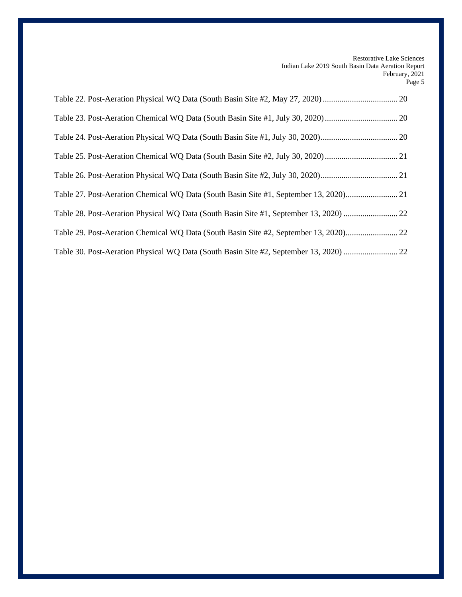| Table 28. Post-Aeration Physical WQ Data (South Basin Site #1, September 13, 2020)  22 |
|----------------------------------------------------------------------------------------|
|                                                                                        |
| Table 30. Post-Aeration Physical WQ Data (South Basin Site #2, September 13, 2020)  22 |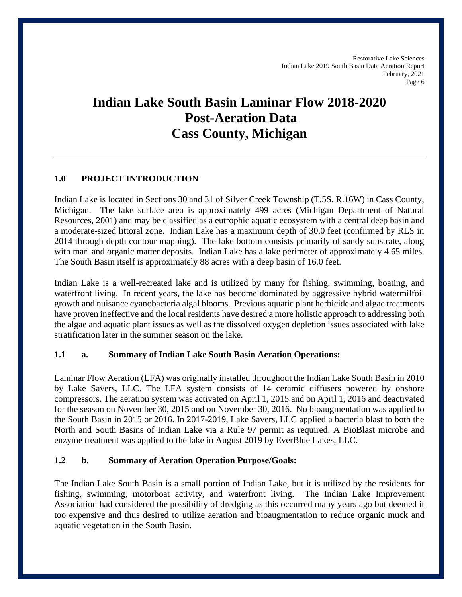# **Indian Lake South Basin Laminar Flow 2018-2020 Post-Aeration Data Cass County, Michigan**

# **1.0 PROJECT INTRODUCTION**

Indian Lake is located in Sections 30 and 31 of Silver Creek Township (T.5S, R.16W) in Cass County, Michigan. The lake surface area is approximately 499 acres (Michigan Department of Natural Resources, 2001) and may be classified as a eutrophic aquatic ecosystem with a central deep basin and a moderate-sized littoral zone. Indian Lake has a maximum depth of 30.0 feet (confirmed by RLS in 2014 through depth contour mapping). The lake bottom consists primarily of sandy substrate, along with marl and organic matter deposits. Indian Lake has a lake perimeter of approximately 4.65 miles. The South Basin itself is approximately 88 acres with a deep basin of 16.0 feet.

Indian Lake is a well-recreated lake and is utilized by many for fishing, swimming, boating, and waterfront living. In recent years, the lake has become dominated by aggressive hybrid watermilfoil growth and nuisance cyanobacteria algal blooms. Previous aquatic plant herbicide and algae treatments have proven ineffective and the local residents have desired a more holistic approach to addressing both the algae and aquatic plant issues as well as the dissolved oxygen depletion issues associated with lake stratification later in the summer season on the lake.

## **1.1 a. Summary of Indian Lake South Basin Aeration Operations:**

Laminar Flow Aeration (LFA) was originally installed throughout the Indian Lake South Basin in 2010 by Lake Savers, LLC. The LFA system consists of 14 ceramic diffusers powered by onshore compressors. The aeration system was activated on April 1, 2015 and on April 1, 2016 and deactivated for the season on November 30, 2015 and on November 30, 2016. No bioaugmentation was applied to the South Basin in 2015 or 2016. In 2017-2019, Lake Savers, LLC applied a bacteria blast to both the North and South Basins of Indian Lake via a Rule 97 permit as required. A BioBlast microbe and enzyme treatment was applied to the lake in August 2019 by EverBlue Lakes, LLC.

## **1.2 b. Summary of Aeration Operation Purpose/Goals:**

The Indian Lake South Basin is a small portion of Indian Lake, but it is utilized by the residents for fishing, swimming, motorboat activity, and waterfront living. The Indian Lake Improvement Association had considered the possibility of dredging as this occurred many years ago but deemed it too expensive and thus desired to utilize aeration and bioaugmentation to reduce organic muck and aquatic vegetation in the South Basin.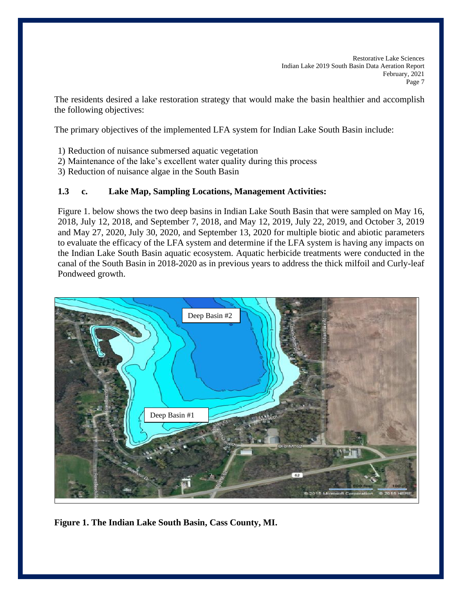The residents desired a lake restoration strategy that would make the basin healthier and accomplish the following objectives:

The primary objectives of the implemented LFA system for Indian Lake South Basin include:

- 1) Reduction of nuisance submersed aquatic vegetation
- 2) Maintenance of the lake's excellent water quality during this process
- 3) Reduction of nuisance algae in the South Basin

# **1.3 c. Lake Map, Sampling Locations, Management Activities:**

Figure 1. below shows the two deep basins in Indian Lake South Basin that were sampled on May 16, 2018, July 12, 2018, and September 7, 2018, and May 12, 2019, July 22, 2019, and October 3, 2019 and May 27, 2020, July 30, 2020, and September 13, 2020 for multiple biotic and abiotic parameters to evaluate the efficacy of the LFA system and determine if the LFA system is having any impacts on the Indian Lake South Basin aquatic ecosystem. Aquatic herbicide treatments were conducted in the canal of the South Basin in 2018-2020 as in previous years to address the thick milfoil and Curly-leaf Pondweed growth.



**Figure 1. The Indian Lake South Basin, Cass County, MI.**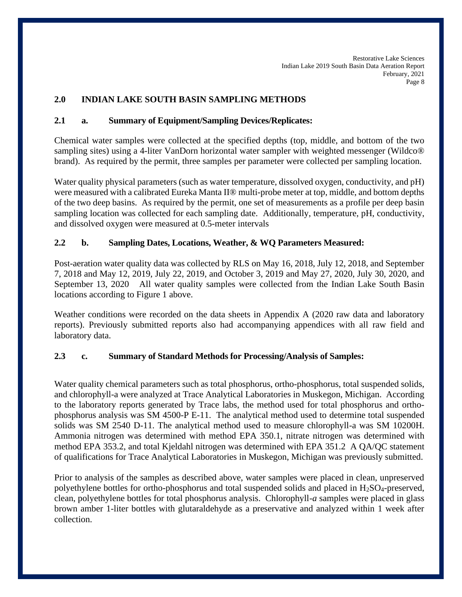# **2.0 INDIAN LAKE SOUTH BASIN SAMPLING METHODS**

## **2.1 a. Summary of Equipment/Sampling Devices/Replicates:**

Chemical water samples were collected at the specified depths (top, middle, and bottom of the two sampling sites) using a 4-liter VanDorn horizontal water sampler with weighted messenger (Wildco® brand). As required by the permit, three samples per parameter were collected per sampling location.

Water quality physical parameters (such as water temperature, dissolved oxygen, conductivity, and pH) were measured with a calibrated Eureka Manta II® multi-probe meter at top, middle, and bottom depths of the two deep basins. As required by the permit, one set of measurements as a profile per deep basin sampling location was collected for each sampling date. Additionally, temperature, pH, conductivity, and dissolved oxygen were measured at 0.5-meter intervals

## **2.2 b. Sampling Dates, Locations, Weather, & WQ Parameters Measured:**

Post-aeration water quality data was collected by RLS on May 16, 2018, July 12, 2018, and September 7, 2018 and May 12, 2019, July 22, 2019, and October 3, 2019 and May 27, 2020, July 30, 2020, and September 13, 2020 All water quality samples were collected from the Indian Lake South Basin locations according to Figure 1 above.

Weather conditions were recorded on the data sheets in Appendix A (2020 raw data and laboratory reports). Previously submitted reports also had accompanying appendices with all raw field and laboratory data.

#### **2.3 c. Summary of Standard Methods for Processing/Analysis of Samples:**

Water quality chemical parameters such as total phosphorus, ortho-phosphorus, total suspended solids, and chlorophyll-a were analyzed at Trace Analytical Laboratories in Muskegon, Michigan. According to the laboratory reports generated by Trace labs, the method used for total phosphorus and orthophosphorus analysis was SM 4500-P E-11. The analytical method used to determine total suspended solids was SM 2540 D-11. The analytical method used to measure chlorophyll-a was SM 10200H. Ammonia nitrogen was determined with method EPA 350.1, nitrate nitrogen was determined with method EPA 353.2, and total Kjeldahl nitrogen was determined with EPA 351.2 A QA/QC statement of qualifications for Trace Analytical Laboratories in Muskegon, Michigan was previously submitted.

Prior to analysis of the samples as described above, water samples were placed in clean, unpreserved polyethylene bottles for ortho-phosphorus and total suspended solids and placed in H<sub>2</sub>SO<sub>4</sub>-preserved, clean, polyethylene bottles for total phosphorus analysis. Chlorophyll-*a* samples were placed in glass brown amber 1-liter bottles with glutaraldehyde as a preservative and analyzed within 1 week after collection.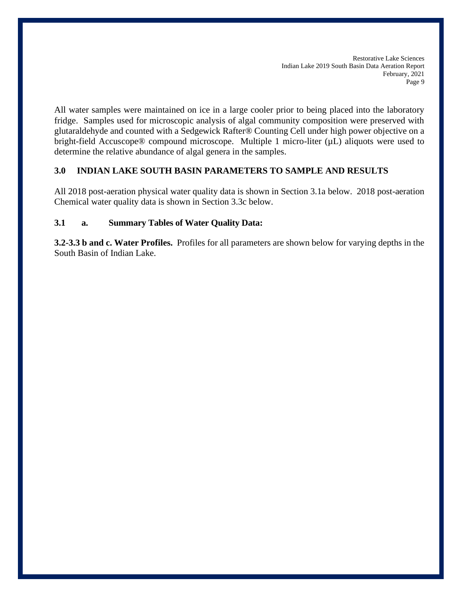All water samples were maintained on ice in a large cooler prior to being placed into the laboratory fridge. Samples used for microscopic analysis of algal community composition were preserved with glutaraldehyde and counted with a Sedgewick Rafter® Counting Cell under high power objective on a bright-field Accuscope® compound microscope. Multiple 1 micro-liter ( $\mu$ L) aliquots were used to determine the relative abundance of algal genera in the samples.

# **3.0 INDIAN LAKE SOUTH BASIN PARAMETERS TO SAMPLE AND RESULTS**

All 2018 post-aeration physical water quality data is shown in Section 3.1a below. 2018 post-aeration Chemical water quality data is shown in Section 3.3c below.

# **3.1 a. Summary Tables of Water Quality Data:**

**3.2-3.3 b and c. Water Profiles.** Profiles for all parameters are shown below for varying depths in the South Basin of Indian Lake.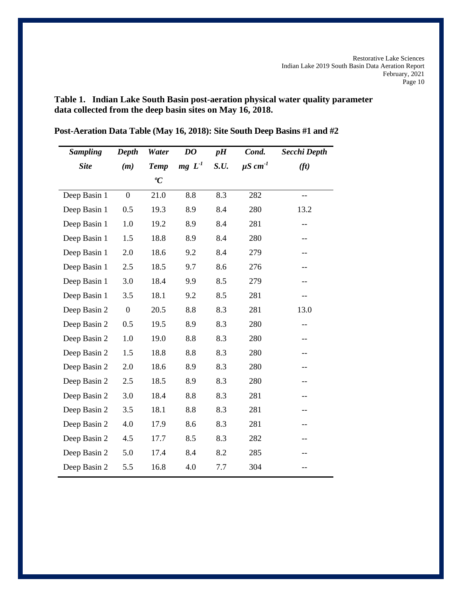**Table 1. Indian Lake South Basin post-aeration physical water quality parameter data collected from the deep basin sites on May 16, 2018.**

| <b>Sampling</b> | Depth            | Water       | DO       | pH   | Cond.                    | Secchi Depth             |
|-----------------|------------------|-------------|----------|------|--------------------------|--------------------------|
| <b>Site</b>     | (m)              | <b>Temp</b> | $mg L-1$ | S.U. | $\mu$ S cm <sup>-1</sup> | (f <sub>t</sub> )        |
|                 |                  | ${}^oC$     |          |      |                          |                          |
| Deep Basin 1    | $\boldsymbol{0}$ | 21.0        | 8.8      | 8.3  | 282                      | $\overline{\phantom{a}}$ |
| Deep Basin 1    | 0.5              | 19.3        | 8.9      | 8.4  | 280                      | 13.2                     |
| Deep Basin 1    | 1.0              | 19.2        | 8.9      | 8.4  | 281                      | --                       |
| Deep Basin 1    | 1.5              | 18.8        | 8.9      | 8.4  | 280                      | --                       |
| Deep Basin 1    | 2.0              | 18.6        | 9.2      | 8.4  | 279                      | --                       |
| Deep Basin 1    | 2.5              | 18.5        | 9.7      | 8.6  | 276                      | --                       |
| Deep Basin 1    | 3.0              | 18.4        | 9.9      | 8.5  | 279                      | $-$                      |
| Deep Basin 1    | 3.5              | 18.1        | 9.2      | 8.5  | 281                      | $-$                      |
| Deep Basin 2    | $\boldsymbol{0}$ | 20.5        | 8.8      | 8.3  | 281                      | 13.0                     |
| Deep Basin 2    | 0.5              | 19.5        | 8.9      | 8.3  | 280                      | $- -$                    |
| Deep Basin 2    | 1.0              | 19.0        | 8.8      | 8.3  | 280                      | $-$                      |
| Deep Basin 2    | 1.5              | 18.8        | 8.8      | 8.3  | 280                      | --                       |
| Deep Basin 2    | 2.0              | 18.6        | 8.9      | 8.3  | 280                      | --                       |
| Deep Basin 2    | 2.5              | 18.5        | 8.9      | 8.3  | 280                      | --                       |
| Deep Basin 2    | 3.0              | 18.4        | 8.8      | 8.3  | 281                      | --                       |
| Deep Basin 2    | 3.5              | 18.1        | 8.8      | 8.3  | 281                      | --                       |
| Deep Basin 2    | 4.0              | 17.9        | 8.6      | 8.3  | 281                      | --                       |
| Deep Basin 2    | 4.5              | 17.7        | 8.5      | 8.3  | 282                      | --                       |
| Deep Basin 2    | 5.0              | 17.4        | 8.4      | 8.2  | 285                      |                          |
| Deep Basin 2    | 5.5              | 16.8        | 4.0      | 7.7  | 304                      | --                       |

**Post-Aeration Data Table (May 16, 2018): Site South Deep Basins #1 and #2**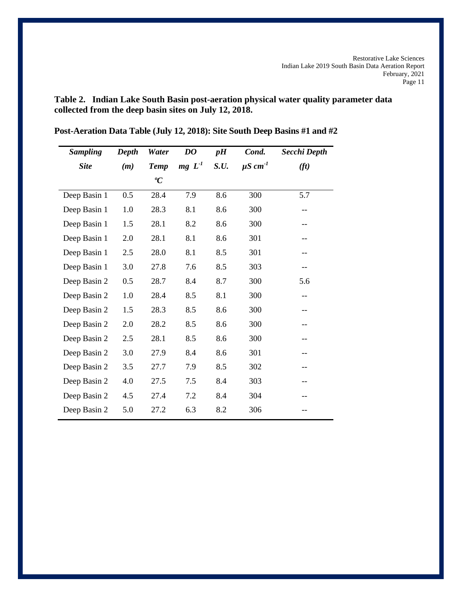**Table 2. Indian Lake South Basin post-aeration physical water quality parameter data collected from the deep basin sites on July 12, 2018.**

| <b>Sampling</b> | Depth | Water       | DO       | pH   | Cond.                    | Secchi Depth      |
|-----------------|-------|-------------|----------|------|--------------------------|-------------------|
| <b>Site</b>     | (m)   | <b>Temp</b> | $mg L-1$ | S.U. | $\mu$ S cm <sup>-1</sup> | (f <sub>t</sub> ) |
|                 |       | ${}^oC$     |          |      |                          |                   |
| Deep Basin 1    | 0.5   | 28.4        | 7.9      | 8.6  | 300                      | 5.7               |
| Deep Basin 1    | 1.0   | 28.3        | 8.1      | 8.6  | 300                      | $- -$             |
| Deep Basin 1    | 1.5   | 28.1        | 8.2      | 8.6  | 300                      | $-$               |
| Deep Basin 1    | 2.0   | 28.1        | 8.1      | 8.6  | 301                      | $-$               |
| Deep Basin 1    | 2.5   | 28.0        | 8.1      | 8.5  | 301                      | --                |
| Deep Basin 1    | 3.0   | 27.8        | 7.6      | 8.5  | 303                      |                   |
| Deep Basin 2    | 0.5   | 28.7        | 8.4      | 8.7  | 300                      | 5.6               |
| Deep Basin 2    | 1.0   | 28.4        | 8.5      | 8.1  | 300                      | $-$               |
| Deep Basin 2    | 1.5   | 28.3        | 8.5      | 8.6  | 300                      | --                |
| Deep Basin 2    | 2.0   | 28.2        | 8.5      | 8.6  | 300                      | --                |
| Deep Basin 2    | 2.5   | 28.1        | 8.5      | 8.6  | 300                      | --                |
| Deep Basin 2    | 3.0   | 27.9        | 8.4      | 8.6  | 301                      |                   |
| Deep Basin 2    | 3.5   | 27.7        | 7.9      | 8.5  | 302                      |                   |
| Deep Basin 2    | 4.0   | 27.5        | 7.5      | 8.4  | 303                      | --                |
| Deep Basin 2    | 4.5   | 27.4        | 7.2      | 8.4  | 304                      |                   |
| Deep Basin 2    | 5.0   | 27.2        | 6.3      | 8.2  | 306                      |                   |

**Post-Aeration Data Table (July 12, 2018): Site South Deep Basins #1 and #2**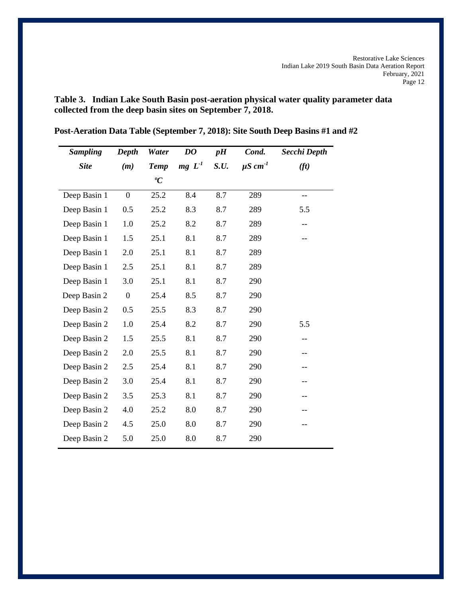**Table 3. Indian Lake South Basin post-aeration physical water quality parameter data collected from the deep basin sites on September 7, 2018.**

| <b>Sampling</b> | Depth            | Water       | DO       | pH   | Cond.                    | Secchi Depth      |
|-----------------|------------------|-------------|----------|------|--------------------------|-------------------|
| <b>Site</b>     | (m)              | <b>Temp</b> | $mg L-1$ | S.U. | $\mu$ S cm <sup>-1</sup> | (f <sub>t</sub> ) |
|                 |                  | ${}^oC$     |          |      |                          |                   |
| Deep Basin 1    | $\boldsymbol{0}$ | 25.2        | 8.4      | 8.7  | 289                      | $-$               |
| Deep Basin 1    | 0.5              | 25.2        | 8.3      | 8.7  | 289                      | 5.5               |
| Deep Basin 1    | 1.0              | 25.2        | 8.2      | 8.7  | 289                      | $-$               |
| Deep Basin 1    | 1.5              | 25.1        | 8.1      | 8.7  | 289                      | --                |
| Deep Basin 1    | 2.0              | 25.1        | 8.1      | 8.7  | 289                      |                   |
| Deep Basin 1    | 2.5              | 25.1        | 8.1      | 8.7  | 289                      |                   |
| Deep Basin 1    | 3.0              | 25.1        | 8.1      | 8.7  | 290                      |                   |
| Deep Basin 2    | $\boldsymbol{0}$ | 25.4        | 8.5      | 8.7  | 290                      |                   |
| Deep Basin 2    | 0.5              | 25.5        | 8.3      | 8.7  | 290                      |                   |
| Deep Basin 2    | 1.0              | 25.4        | 8.2      | 8.7  | 290                      | 5.5               |
| Deep Basin 2    | 1.5              | 25.5        | 8.1      | 8.7  | 290                      | $-$               |
| Deep Basin 2    | 2.0              | 25.5        | 8.1      | 8.7  | 290                      | --                |
| Deep Basin 2    | 2.5              | 25.4        | 8.1      | 8.7  | 290                      |                   |
| Deep Basin 2    | 3.0              | 25.4        | 8.1      | 8.7  | 290                      | --                |
| Deep Basin 2    | 3.5              | 25.3        | 8.1      | 8.7  | 290                      | --                |
| Deep Basin 2    | 4.0              | 25.2        | 8.0      | 8.7  | 290                      |                   |
| Deep Basin 2    | 4.5              | 25.0        | 8.0      | 8.7  | 290                      | --                |
| Deep Basin 2    | 5.0              | 25.0        | 8.0      | 8.7  | 290                      |                   |

**Post-Aeration Data Table (September 7, 2018): Site South Deep Basins #1 and #2**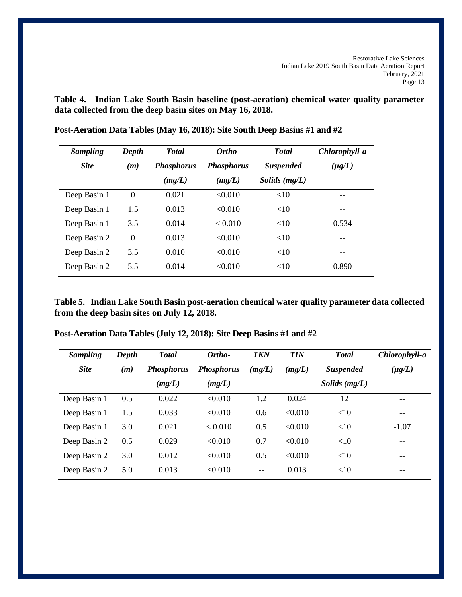**Table 4. Indian Lake South Basin baseline (post-aeration) chemical water quality parameter data collected from the deep basin sites on May 16, 2018.**

| <b>Sampling</b> | Depth    | <b>Total</b>      | Ortho-            |                  | Chlorophyll-a |
|-----------------|----------|-------------------|-------------------|------------------|---------------|
| <b>Site</b>     | (m)      | <b>Phosphorus</b> | <b>Phosphorus</b> | <b>Suspended</b> | $(\mu g/L)$   |
|                 |          | (mg/L)            | (mg/L)            | Solids $(mg/L)$  |               |
| Deep Basin 1    | $\Omega$ | 0.021             | < 0.010           | $<$ 10           | --            |
| Deep Basin 1    | 1.5      | 0.013             | < 0.010           | <10              | --            |
| Deep Basin 1    | 3.5      | 0.014             | < 0.010           | <10              | 0.534         |
| Deep Basin 2    | $\Omega$ | 0.013             | $\leq 0.010$      | <10              |               |
| Deep Basin 2    | 3.5      | 0.010             | < 0.010           | <10              | --            |
| Deep Basin 2    | 5.5      | 0.014             | < 0.010           | <10              | 0.890         |

**Post-Aeration Data Tables (May 16, 2018): Site South Deep Basins #1 and #2**

**Table 5. Indian Lake South Basin post-aeration chemical water quality parameter data collected from the deep basin sites on July 12, 2018.**

| Post-Aeration Data Tables (July 12, 2018): Site Deep Basins #1 and #2 |  |  |
|-----------------------------------------------------------------------|--|--|
|-----------------------------------------------------------------------|--|--|

| <b>Sampling</b> | Depth | <b>Total</b>      | Ortho-            | <b>TKN</b> | <b>TIN</b> | <b>Total</b>     | Chlorophyll-a |
|-----------------|-------|-------------------|-------------------|------------|------------|------------------|---------------|
| <b>Site</b>     | (m)   | <b>Phosphorus</b> | <b>Phosphorus</b> | (mg/L)     | (mg/L)     | <b>Suspended</b> | $(\mu g/L)$   |
|                 |       | (mg/L)            | (mg/L)            |            |            | Solids $(mg/L)$  |               |
| Deep Basin 1    | 0.5   | 0.022             | < 0.010           | 1.2        | 0.024      | 12               | $- -$         |
| Deep Basin 1    | 1.5   | 0.033             | < 0.010           | 0.6        | < 0.010    | <10              | $- -$         |
| Deep Basin 1    | 3.0   | 0.021             | < 0.010           | 0.5        | < 0.010    | <10              | $-1.07$       |
| Deep Basin 2    | 0.5   | 0.029             | < 0.010           | 0.7        | < 0.010    | <10              | $- -$         |
| Deep Basin 2    | 3.0   | 0.012             | < 0.010           | 0.5        | < 0.010    | <10              | --            |
| Deep Basin 2    | 5.0   | 0.013             | < 0.010           | $-$        | 0.013      | <10              | --            |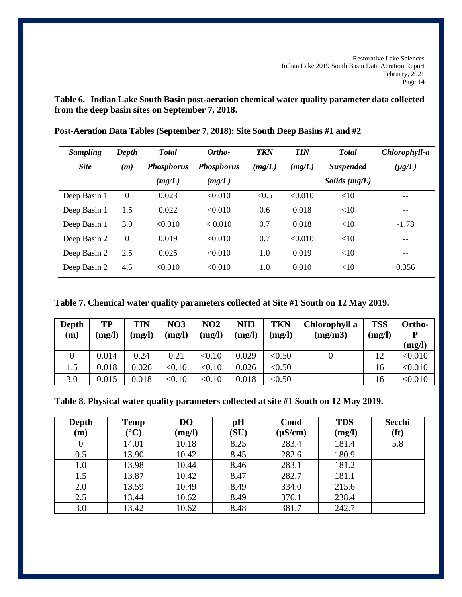**Table 6. Indian Lake South Basin post-aeration chemical water quality parameter data collected from the deep basin sites on September 7, 2018.**

| <b>Sampling</b> | Depth    | <b>Total</b>      | Ortho-            | <b>TKN</b> | <b>TIN</b> | <b>Total</b>     | Chlorophyll-a |
|-----------------|----------|-------------------|-------------------|------------|------------|------------------|---------------|
| <b>Site</b>     | (m)      | <b>Phosphorus</b> | <b>Phosphorus</b> | (mg/L)     | (mg/L)     | <b>Suspended</b> | $(\mu g/L)$   |
|                 |          | (mg/L)            | (mg/L)            |            |            | Solids $(mg/L)$  |               |
| Deep Basin 1    | $\theta$ | 0.023             | < 0.010           | < 0.5      | < 0.010    | <10              | --            |
| Deep Basin 1    | 1.5      | 0.022             | < 0.010           | 0.6        | 0.018      | <10              | --            |
| Deep Basin 1    | 3.0      | < 0.010           | < 0.010           | 0.7        | 0.018      | <10              | $-1.78$       |
| Deep Basin 2    | $\theta$ | 0.019             | < 0.010           | 0.7        | < 0.010    | <10              | --            |
| Deep Basin 2    | 2.5      | 0.025             | < 0.010           | 1.0        | 0.019      | <10              | --            |
| Deep Basin 2    | 4.5      | < 0.010           | < 0.010           | 1.0        | 0.010      | <10              | 0.356         |

**Post-Aeration Data Tables (September 7, 2018): Site South Deep Basins #1 and #2**

**Table 7. Chemical water quality parameters collected at Site #1 South on 12 May 2019.**

| Depth<br>(m) | TP<br>(mg/l) | TIN<br>(mg/l) | <b>NO3</b><br>(mg/l) | NO <sub>2</sub><br>(mg/l) | NH <sub>3</sub><br>(mg/l) | <b>TKN</b><br>(mg/l) | Chlorophyll a<br>(mg/m3) | <b>TSS</b><br>(mg/l) | Ortho-<br>(mg/l) |
|--------------|--------------|---------------|----------------------|---------------------------|---------------------------|----------------------|--------------------------|----------------------|------------------|
|              | 0.014        | 0.24          | 0.21                 | < 0.10                    | 0.029                     | < 0.50               |                          | 12                   | < 0.010          |
| 1.5          | 0.018        | 0.026         | < 0.10               | < 0.10                    | 0.026                     | < 0.50               |                          | 16                   | < 0.010          |
| 3.0          | 0.015        | 0.018         | < 0.10               | < 0.10                    | 0.018                     | < 0.50               |                          | 16                   | < 0.010          |

**Table 8. Physical water quality parameters collected at site #1 South on 12 May 2019.**

| Depth<br>(m) | <b>Temp</b><br>$({}^{\circ}{\bf C})$ | D <sub>O</sub><br>(mg/l) | pH<br>(SU) | Cond<br>$(\mu S/cm)$ | <b>TDS</b><br>(mg/l) | Secchi<br>(ft) |
|--------------|--------------------------------------|--------------------------|------------|----------------------|----------------------|----------------|
| $\theta$     | 14.01                                | 10.18                    | 8.25       | 283.4                | 181.4                | 5.8            |
| 0.5          | 13.90                                | 10.42                    | 8.45       | 282.6                | 180.9                |                |
| 1.0          | 13.98                                | 10.44                    | 8.46       | 283.1                | 181.2                |                |
| 1.5          | 13.87                                | 10.42                    | 8.47       | 282.7                | 181.1                |                |
| 2.0          | 13.59                                | 10.49                    | 8.49       | 334.0                | 215.6                |                |
| 2.5          | 13.44                                | 10.62                    | 8.49       | 376.1                | 238.4                |                |
| 3.0          | 13.42                                | 10.62                    | 8.48       | 381.7                | 242.7                |                |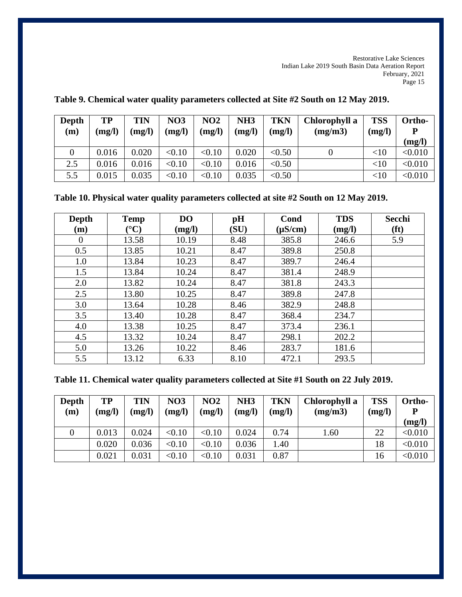| <b>Depth</b><br>(m) | <b>TP</b><br>(mg/l) | TIN<br>(mg/l) | <b>NO3</b><br>(mg/l) | NO <sub>2</sub><br>(mg/l) | NH3<br>(mg/l) | TKN<br>(mg/l) | Chlorophyll a<br>(mg/m3) | <b>TSS</b><br>(mg/l) | Ortho-<br>D<br>(mg/l) |
|---------------------|---------------------|---------------|----------------------|---------------------------|---------------|---------------|--------------------------|----------------------|-----------------------|
|                     | 0.016               | 0.020         | < 0.10               | < 0.10                    | 0.020         | < 0.50        |                          | $<$ 10               | < 0.010               |
| 2.5                 | 0.016               | 0.016         | < 0.10               | < 0.10                    | 0.016         | < 0.50        |                          | $<$ 10               | < 0.010               |
| 5.5                 | 0.015               | 0.035         | < 0.10               | < 0.10                    | 0.035         | < 0.50        |                          | <10                  | < 0.010               |

**Table 9. Chemical water quality parameters collected at Site #2 South on 12 May 2019.**

**Table 10. Physical water quality parameters collected at site #2 South on 12 May 2019.**

| <b>Depth</b> | <b>Temp</b>            | D <sub>O</sub> | pH   | Cond         | <b>TDS</b> | <b>Secchi</b>     |
|--------------|------------------------|----------------|------|--------------|------------|-------------------|
| (m)          | $({}^\circ\mathrm{C})$ | (mg/l)         | (SU) | $(\mu S/cm)$ | (mg/l)     | (f <sup>t</sup> ) |
| $\theta$     | 13.58                  | 10.19          | 8.48 | 385.8        | 246.6      | 5.9               |
| 0.5          | 13.85                  | 10.21          | 8.47 | 389.8        | 250.8      |                   |
| 1.0          | 13.84                  | 10.23          | 8.47 | 389.7        | 246.4      |                   |
| 1.5          | 13.84                  | 10.24          | 8.47 | 381.4        | 248.9      |                   |
| 2.0          | 13.82                  | 10.24          | 8.47 | 381.8        | 243.3      |                   |
| 2.5          | 13.80                  | 10.25          | 8.47 | 389.8        | 247.8      |                   |
| 3.0          | 13.64                  | 10.28          | 8.46 | 382.9        | 248.8      |                   |
| 3.5          | 13.40                  | 10.28          | 8.47 | 368.4        | 234.7      |                   |
| 4.0          | 13.38                  | 10.25          | 8.47 | 373.4        | 236.1      |                   |
| 4.5          | 13.32                  | 10.24          | 8.47 | 298.1        | 202.2      |                   |
| 5.0          | 13.26                  | 10.22          | 8.46 | 283.7        | 181.6      |                   |
| 5.5          | 13.12                  | 6.33           | 8.10 | 472.1        | 293.5      |                   |

| Depth<br>(m) | TP<br>(mg/l) | TIN<br>(mg/l) | <b>NO3</b><br>(mg/l) | <b>NO2</b><br>(mg/l) | NH <sub>3</sub><br>(mg/l) | <b>TKN</b><br>(mg/l) | Chlorophyll a<br>(mg/m3) | <b>TSS</b><br>(mg/l) | Ortho-<br>P<br>(mg/l) |
|--------------|--------------|---------------|----------------------|----------------------|---------------------------|----------------------|--------------------------|----------------------|-----------------------|
|              | 0.013        | 0.024         | < 0.10               | < 0.10               | 0.024                     | 0.74                 | 1.60                     | 22                   | < 0.010               |
|              | 0.020        | 0.036         | < 0.10               | < 0.10               | 0.036                     | 1.40                 |                          | 18                   | < 0.010               |
|              | 0.021        | 0.031         | < 0.10               | < 0.10               | 0.031                     | 0.87                 |                          | 16                   | < 0.010               |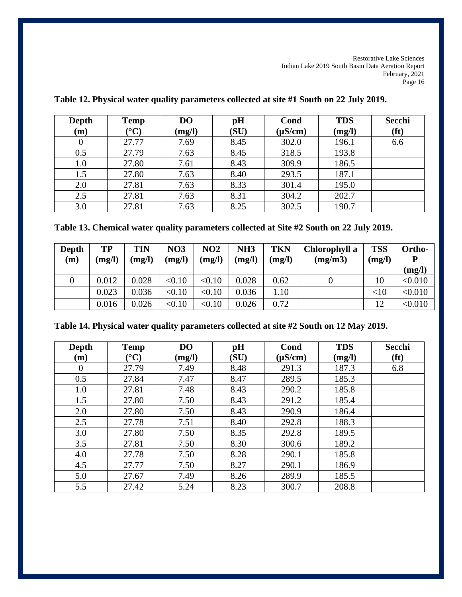| <b>Depth</b><br>(m) | <b>Temp</b><br>$({}^{\circ}{\bf C})$ | DO<br>(mg/l) | pH<br>(SU) | Cond<br>$(\mu S/cm)$ | <b>TDS</b><br>(mg/l) | <b>Secchi</b><br>(ft) |
|---------------------|--------------------------------------|--------------|------------|----------------------|----------------------|-----------------------|
|                     | 27.77                                | 7.69         | 8.45       | 302.0                | 196.1                | 6.6                   |
| 0.5                 | 27.79                                | 7.63         | 8.45       | 318.5                | 193.8                |                       |
| 1.0                 | 27.80                                | 7.61         | 8.43       | 309.9                | 186.5                |                       |
| 1.5                 | 27.80                                | 7.63         | 8.40       | 293.5                | 187.1                |                       |
| 2.0                 | 27.81                                | 7.63         | 8.33       | 301.4                | 195.0                |                       |
| 2.5                 | 27.81                                | 7.63         | 8.31       | 304.2                | 202.7                |                       |
| 3.0                 | 27.81                                | 7.63         | 8.25       | 302.5                | 190.7                |                       |

# **Table 12. Physical water quality parameters collected at site #1 South on 22 July 2019.**

| Depth<br>(m) | TP<br>(mg/l) | TIN<br>(mg/l) | <b>NO3</b><br>(mg/l) | NO <sub>2</sub><br>(mg/l) | NH <sub>3</sub><br>(mg/l) | <b>TKN</b><br>(mg/l) | Chlorophyll a<br>(mg/m3) | <b>TSS</b><br>(mg/l) | Ortho-<br>D<br>(mg/l) |
|--------------|--------------|---------------|----------------------|---------------------------|---------------------------|----------------------|--------------------------|----------------------|-----------------------|
|              | 0.012        | 0.028         | < 0.10               | < 0.10                    | 0.028                     | 0.62                 |                          | 10                   | < 0.010               |
|              | 0.023        | 0.036         | < 0.10               | < 0.10                    | 0.036                     | 1.10                 |                          | <10                  | < 0.010               |
|              | 0.016        | 0.026         | < 0.10               | < 0.10                    | 0.026                     | 0.72                 |                          | 12                   | < 0.010               |

| <b>Depth</b> | <b>Temp</b>      | D <sub>O</sub> | pH<br>(SU) | Cond         | <b>TDS</b> | Secchi            |
|--------------|------------------|----------------|------------|--------------|------------|-------------------|
| (m)          | $\rm ^{\circ}C)$ | (mg/l)         |            | $(\mu S/cm)$ | (mg/l)     | (f <sup>t</sup> ) |
| $\theta$     | 27.79            | 7.49           | 8.48       | 291.3        | 187.3      | 6.8               |
| 0.5          | 27.84            | 7.47           | 8.47       | 289.5        | 185.3      |                   |
| 1.0          | 27.81            | 7.48           | 8.43       | 290.2        | 185.8      |                   |
| 1.5          | 27.80            | 7.50           | 8.43       | 291.2        | 185.4      |                   |
| 2.0          | 27.80            | 7.50           | 8.43       | 290.9        | 186.4      |                   |
| 2.5          | 27.78            | 7.51           | 8.40       | 292.8        | 188.3      |                   |
| 3.0          | 27.80            | 7.50           | 8.35       | 292.8        | 189.5      |                   |
| 3.5          | 27.81            | 7.50           | 8.30       | 300.6        | 189.2      |                   |
| 4.0          | 27.78            | 7.50           | 8.28       | 290.1        | 185.8      |                   |
| 4.5          | 27.77            | 7.50           | 8.27       | 290.1        | 186.9      |                   |
| 5.0          | 27.67            | 7.49           | 8.26       | 289.9        | 185.5      |                   |
| 5.5          | 27.42            | 5.24           | 8.23       | 300.7        | 208.8      |                   |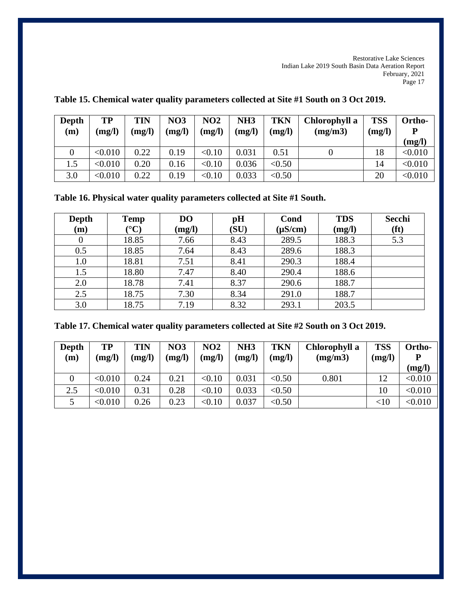| Depth<br>(m) | <b>TP</b><br>(mg/l) | TIN<br>(mg/l) | <b>NO3</b><br>(mg/l) | NO2<br>(mg/l) | NH <sub>3</sub><br>(mg/l) | <b>TKN</b><br>(mg/l) | Chlorophyll a<br>(mg/m3) | <b>TSS</b><br>(mg/l) | Ortho-<br>(mg/l) |
|--------------|---------------------|---------------|----------------------|---------------|---------------------------|----------------------|--------------------------|----------------------|------------------|
|              | < 0.010             | 0.22          | 0.19                 | < 0.10        | 0.031                     | 0.51                 |                          | 18                   | < 0.010          |
| 1.5          | < 0.010             | 0.20          | 0.16                 | < 0.10        | 0.036                     | < 0.50               |                          | 14                   | < 0.010          |
| 3.0          | < 0.010             | 0.22          | 0.19                 | < 0.10        | 0.033                     | < 0.50               |                          | 20                   | < 0.010          |

**Table 15. Chemical water quality parameters collected at Site #1 South on 3 Oct 2019.**

**Table 16. Physical water quality parameters collected at Site #1 South.**

| Depth | <b>Temp</b>           | D <sub>O</sub> | pH   | Cond         | <b>TDS</b> | Secchi            |
|-------|-----------------------|----------------|------|--------------|------------|-------------------|
| (m)   | $({}^{\circ}{\bf C})$ | (mg/l)         | (SU) | $(\mu S/cm)$ | (mg/l)     | (f <sup>t</sup> ) |
|       | 18.85                 | 7.66           | 8.43 | 289.5        | 188.3      | 5.3               |
| 0.5   | 18.85                 | 7.64           | 8.43 | 289.6        | 188.3      |                   |
| 1.0   | 18.81                 | 7.51           | 8.41 | 290.3        | 188.4      |                   |
| 1.5   | 18.80                 | 7.47           | 8.40 | 290.4        | 188.6      |                   |
| 2.0   | 18.78                 | 7.41           | 8.37 | 290.6        | 188.7      |                   |
| 2.5   | 18.75                 | 7.30           | 8.34 | 291.0        | 188.7      |                   |
| 3.0   | 18.75                 | 7.19           | 8.32 | 293.1        | 203.5      |                   |

**Table 17. Chemical water quality parameters collected at Site #2 South on 3 Oct 2019.**

| Depth<br>(m) | TP<br>(mg/l) | TIN<br>(mg/l) | <b>NO3</b><br>(mg/l) | NO <sub>2</sub><br>(mg/l) | NH <sub>3</sub><br>(mg/l) | TKN<br>(mg/l) | Chlorophyll a<br>(mg/m3) | <b>TSS</b><br>(mg/l) | Ortho-<br>(mg/l) |
|--------------|--------------|---------------|----------------------|---------------------------|---------------------------|---------------|--------------------------|----------------------|------------------|
|              | < 0.010      | 0.24          | 0.21                 | < 0.10                    | 0.031                     | < 0.50        | 0.801                    | 12                   | < 0.010          |
| 2.5          | < 0.010      | 0.31          | 0.28                 | < 0.10                    | 0.033                     | < 0.50        |                          | 10                   | < 0.010          |
|              | < 0.010      | 0.26          | 0.23                 | < 0.10                    | 0.037                     | < 0.50        |                          | $<$ 10               | < 0.010          |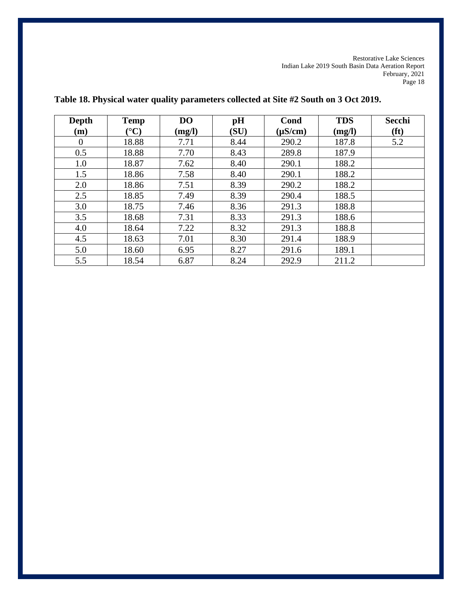| <b>Depth</b> | <b>Temp</b>           | D <sub>O</sub> | pH   | Cond         | <b>TDS</b> | Secchi            |
|--------------|-----------------------|----------------|------|--------------|------------|-------------------|
| (m)          | $({}^{\circ}{\bf C})$ | (mg/l)         | (SU) | $(\mu S/cm)$ | (mg/l)     | (f <sup>t</sup> ) |
| $\Omega$     | 18.88                 | 7.71           | 8.44 | 290.2        | 187.8      | 5.2               |
| 0.5          | 18.88                 | 7.70           | 8.43 | 289.8        | 187.9      |                   |
| 1.0          | 18.87                 | 7.62           | 8.40 | 290.1        | 188.2      |                   |
| 1.5          | 18.86                 | 7.58           | 8.40 | 290.1        | 188.2      |                   |
| 2.0          | 18.86                 | 7.51           | 8.39 | 290.2        | 188.2      |                   |
| 2.5          | 18.85                 | 7.49           | 8.39 | 290.4        | 188.5      |                   |
| 3.0          | 18.75                 | 7.46           | 8.36 | 291.3        | 188.8      |                   |
| 3.5          | 18.68                 | 7.31           | 8.33 | 291.3        | 188.6      |                   |
| 4.0          | 18.64                 | 7.22           | 8.32 | 291.3        | 188.8      |                   |
| 4.5          | 18.63                 | 7.01           | 8.30 | 291.4        | 188.9      |                   |
| 5.0          | 18.60                 | 6.95           | 8.27 | 291.6        | 189.1      |                   |
| 5.5          | 18.54                 | 6.87           | 8.24 | 292.9        | 211.2      |                   |

**Table 18. Physical water quality parameters collected at Site #2 South on 3 Oct 2019.**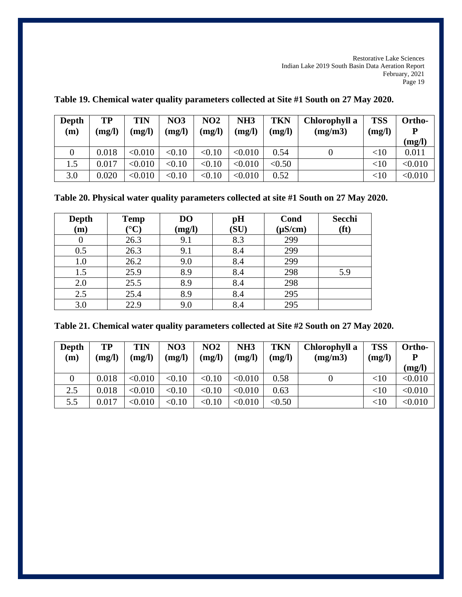| Depth<br>(m) | TP<br>(mg/l) | TIN<br>(mg/l) | <b>NO3</b><br>(mg/l) | NO <sub>2</sub><br>(mg/l) | NH <sub>3</sub><br>(mg/l) | <b>TKN</b><br>(mg/l) | Chlorophyll a<br>(mg/m3) | <b>TSS</b><br>(mg/l) | Ortho-<br>D<br>(mg/l) |
|--------------|--------------|---------------|----------------------|---------------------------|---------------------------|----------------------|--------------------------|----------------------|-----------------------|
|              | 0.018        | < 0.010       | < 0.10               | < 0.10                    | < 0.010                   | 0.54                 |                          | $<$ 10               | 0.011                 |
| 1.5          | 0.017        | < 0.010       | < 0.10               | < 0.10                    | < 0.010                   | < 0.50               |                          | $<$ 10               | < 0.010               |
| 3.0          | 0.020        | < 0.010       | < 0.10               | < 0.10                    | < 0.010                   | 0.52                 |                          | $<$ 10               | < 0.010               |

**Table 19. Chemical water quality parameters collected at Site #1 South on 27 May 2020.**

**Table 20. Physical water quality parameters collected at site #1 South on 27 May 2020.**

| Depth | <b>Temp</b>       | <b>DO</b> | pH   | Cond         | Secchi |
|-------|-------------------|-----------|------|--------------|--------|
| (m)   | $\rm ^{\circ} C)$ | (mg/l)    | (SU) | $(\mu S/cm)$ | (ft)   |
| 0     | 26.3              | 9.1       | 8.3  | 299          |        |
| 0.5   | 26.3              | 9.1       | 8.4  | 299          |        |
| 1.0   | 26.2              | 9.0       | 8.4  | 299          |        |
| 1.5   | 25.9              | 8.9       | 8.4  | 298          | 5.9    |
| 2.0   | 25.5              | 8.9       | 8.4  | 298          |        |
| 2.5   | 25.4              | 8.9       | 8.4  | 295          |        |
| 3.0   | 22.9              | 9.0       | 8.4  | 295          |        |

**Table 21. Chemical water quality parameters collected at Site #2 South on 27 May 2020.**

| Depth<br>(m) | TP<br>(mg/l) | TIN<br>(mg/l) | <b>NO3</b><br>(mg/l) | NO <sub>2</sub><br>(mg/l) | NH <sub>3</sub><br>(mg/l) | <b>TKN</b><br>(mg/l) | Chlorophyll a<br>(mg/m3) | <b>TSS</b><br>(mg/l) | Ortho-<br>P<br>(mg/l) |
|--------------|--------------|---------------|----------------------|---------------------------|---------------------------|----------------------|--------------------------|----------------------|-----------------------|
|              | 0.018        | < 0.010       | < 0.10               | < 0.10                    | < 0.010                   | 0.58                 |                          | $<$ 10               | < 0.010               |
| 2.5          | 0.018        | < 0.010       | < 0.10               | < 0.10                    | < 0.010                   | 0.63                 |                          | $<$ 10               | < 0.010               |
| 5.5          | 0.017        | < 0.010       | < 0.10               | < 0.10                    | < 0.010                   | < 0.50               |                          | $<$ 10               | < 0.010               |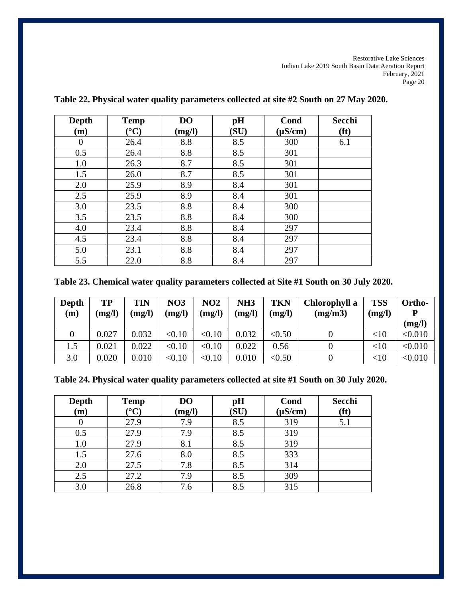| <b>Depth</b>   | <b>Temp</b>           | D <sub>O</sub> | pH   | Cond         | <b>Secchi</b>     |
|----------------|-----------------------|----------------|------|--------------|-------------------|
| (m)            | $({}^{\circ}{\rm C})$ | (mg/l)         | (SU) | $(\mu S/cm)$ | (f <sup>t</sup> ) |
| $\overline{0}$ | 26.4                  | 8.8            | 8.5  | 300          | 6.1               |
| 0.5            | 26.4                  | 8.8            | 8.5  | 301          |                   |
| 1.0            | 26.3                  | 8.7            | 8.5  | 301          |                   |
| 1.5            | 26.0                  | 8.7            | 8.5  | 301          |                   |
| 2.0            | 25.9                  | 8.9            | 8.4  | 301          |                   |
| 2.5            | 25.9                  | 8.9            | 8.4  | 301          |                   |
| 3.0            | 23.5                  | 8.8            | 8.4  | 300          |                   |
| 3.5            | 23.5                  | 8.8            | 8.4  | 300          |                   |
| 4.0            | 23.4                  | 8.8            | 8.4  | 297          |                   |
| 4.5            | 23.4                  | 8.8            | 8.4  | 297          |                   |
| 5.0            | 23.1                  | 8.8            | 8.4  | 297          |                   |
| 5.5            | 22.0                  | 8.8            | 8.4  | 297          |                   |

# **Table 22. Physical water quality parameters collected at site #2 South on 27 May 2020.**

**Table 23. Chemical water quality parameters collected at Site #1 South on 30 July 2020.**

| Depth<br>(m) | TP<br>(mg/l) | TIN<br>(mg/l) | <b>NO3</b><br>(mg/l) | NO2<br>(mg/l) | NH3<br>(mg/l) | <b>TKN</b><br>(mg/l) | Chlorophyll a<br>(mg/m3) | <b>TSS</b><br>(mg/l) | Ortho-<br>(mg/l) |
|--------------|--------------|---------------|----------------------|---------------|---------------|----------------------|--------------------------|----------------------|------------------|
|              | 0.027        | 0.032         | < 0.10               | < 0.10        | 0.032         | < 0.50               |                          | $<$ 10               | < 0.010          |
| 1.5          | 0.021        | 0.022         | < 0.10               | < 0.10        | 0.022         | 0.56                 |                          | $<$ 10               | < 0.010          |
| 3.0          | 0.020        | 0.010         | < 0.10               | < 0.10        | 0.010         | < 0.50               |                          | $<$ 10               | < 0.010          |

**Table 24. Physical water quality parameters collected at site #1 South on 30 July 2020.**

| <b>Depth</b> | <b>Temp</b>      | <b>DO</b> | pH   | Cond         | Secchi |
|--------------|------------------|-----------|------|--------------|--------|
| (m)          | $\rm ^{\circ} C$ | (mg/l)    | (SU) | $(\mu S/cm)$ | (f t)  |
| O            | 27.9             | 7.9       | 8.5  | 319          | 5.1    |
| 0.5          | 27.9             | 7.9       | 8.5  | 319          |        |
| 1.0          | 27.9             | 8.1       | 8.5  | 319          |        |
| 1.5          | 27.6             | 8.0       | 8.5  | 333          |        |
| 2.0          | 27.5             | 7.8       | 8.5  | 314          |        |
| 2.5          | 27.2             | 7.9       | 8.5  | 309          |        |
| 3.0          | 26.8             | 7.6       | 8.5  | 315          |        |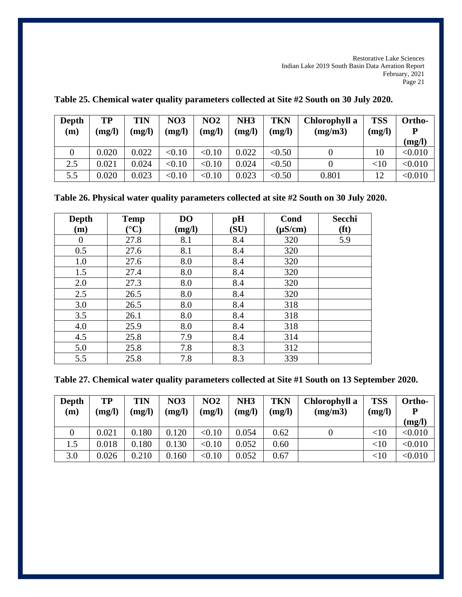| <b>Depth</b><br>(m) | TP<br>(mg/l) | TIN<br>(mg/l) | <b>NO3</b><br>(mg/l) | NO <sub>2</sub><br>(mg/l) | NH <sub>3</sub><br>(mg/l) | <b>TKN</b><br>(mg/l) | Chlorophyll a<br>(mg/m3) | <b>TSS</b><br>(mg/l) | Ortho-<br>(mg/l) |
|---------------------|--------------|---------------|----------------------|---------------------------|---------------------------|----------------------|--------------------------|----------------------|------------------|
|                     | 0.020        | 0.022         | < 0.10               | < 0.10                    | 0.022                     | < 0.50               |                          | 10                   | < 0.010          |
| 2.5                 | 0.021        | 0.024         | < 0.10               | < 0.10                    | 0.024                     | < 0.50               |                          | $<$ 10               | < 0.010          |
| 5.5                 | 0.020        | 0.023         | < 0.10               | < 0.10                    | 0.023                     | < 0.50               | 0.801                    | 12                   | < 0.010          |

**Table 25. Chemical water quality parameters collected at Site #2 South on 30 July 2020.**

**Table 26. Physical water quality parameters collected at site #2 South on 30 July 2020.**

| <b>Depth</b>     | <b>Temp</b>            | DO     | pH   | Cond         | Secchi            |
|------------------|------------------------|--------|------|--------------|-------------------|
| (m)              | $({}^\circ\mathrm{C})$ | (mg/l) | (SU) | $(\mu S/cm)$ | (f <sup>t</sup> ) |
| $\boldsymbol{0}$ | 27.8                   | 8.1    | 8.4  | 320          | 5.9               |
| 0.5              | 27.6                   | 8.1    | 8.4  | 320          |                   |
| 1.0              | 27.6                   | 8.0    | 8.4  | 320          |                   |
| 1.5              | 27.4                   | 8.0    | 8.4  | 320          |                   |
| 2.0              | 27.3                   | 8.0    | 8.4  | 320          |                   |
| 2.5              | 26.5                   | 8.0    | 8.4  | 320          |                   |
| 3.0              | 26.5                   | 8.0    | 8.4  | 318          |                   |
| 3.5              | 26.1                   | 8.0    | 8.4  | 318          |                   |
| 4.0              | 25.9                   | 8.0    | 8.4  | 318          |                   |
| 4.5              | 25.8                   | 7.9    | 8.4  | 314          |                   |
| 5.0              | 25.8                   | 7.8    | 8.3  | 312          |                   |
| 5.5              | 25.8                   | 7.8    | 8.3  | 339          |                   |

|  |  |  | Table 27. Chemical water quality parameters collected at Site #1 South on 13 September 2020. |
|--|--|--|----------------------------------------------------------------------------------------------|
|--|--|--|----------------------------------------------------------------------------------------------|

| Depth<br>(m) | TP<br>(mg/l) | TIN<br>(mg/l) | <b>NO3</b><br>(mg/l) | NO2<br>(mg/l) | NH <sub>3</sub><br>(mg/l) | <b>TKN</b><br>(mg/l) | Chlorophyll a<br>(mg/m3) | <b>TSS</b><br>(mg/l) | Ortho-<br>D<br>(mg/l) |
|--------------|--------------|---------------|----------------------|---------------|---------------------------|----------------------|--------------------------|----------------------|-----------------------|
|              | 0.021        | 0.180         | 0.120                | < 0.10        | 0.054                     | 0.62                 |                          | $<$ 10               | < 0.010               |
| 1.5          | 0.018        | 0.180         | 0.130                | < 0.10        | 0.052                     | 0.60                 |                          | $<$ 10               | < 0.010               |
| 3.0          | 0.026        | 0.210         | 0.160                | < 0.10        | 0.052                     | 0.67                 |                          | $<$ 10               | < 0.010               |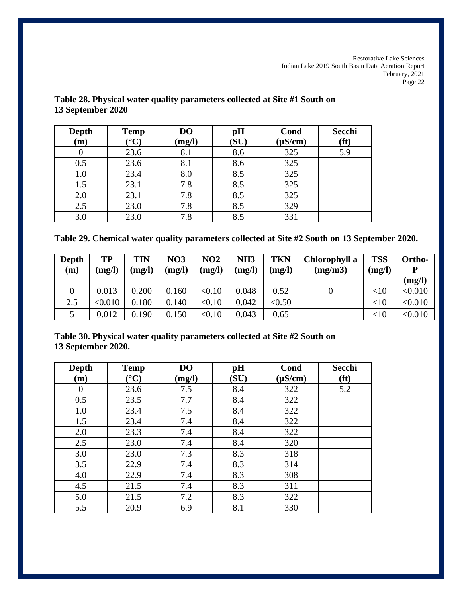| <b>Depth</b><br>(m) | <b>Temp</b><br>$\rm ^{\circ} C)$ | D <sub>O</sub><br>(mg/l) | pH<br>(SU) | Cond<br>$(\mu S/cm)$ | Secchi<br>(f <sup>t</sup> ) |
|---------------------|----------------------------------|--------------------------|------------|----------------------|-----------------------------|
| 0                   | 23.6                             | 8.1                      | 8.6        | 325                  | 5.9                         |
| 0.5                 | 23.6                             | 8.1                      | 8.6        | 325                  |                             |
| 1.0                 | 23.4                             | 8.0                      | 8.5        | 325                  |                             |
| 1.5                 | 23.1                             | 7.8                      | 8.5        | 325                  |                             |
| 2.0                 | 23.1                             | 7.8                      | 8.5        | 325                  |                             |
| 2.5                 | 23.0                             | 7.8                      | 8.5        | 329                  |                             |
| 3.0                 | 23.0                             | 7.8                      | 8.5        | 331                  |                             |

# **Table 28. Physical water quality parameters collected at Site #1 South on 13 September 2020**

|  | Table 29. Chemical water quality parameters collected at Site #2 South on 13 September 2020. |  |  |  |
|--|----------------------------------------------------------------------------------------------|--|--|--|
|  |                                                                                              |  |  |  |

| Depth<br>(m) | TP<br>(mg/l) | TIN<br>(mg/l) | <b>NO3</b><br>(mg/l) | <b>NO2</b><br>(mg/l) | NH <sub>3</sub><br>(mg/l) | <b>TKN</b><br>(mg/l) | Chlorophyll a<br>(mg/m3) | <b>TSS</b><br>(mg/l) | Ortho-<br>(mg/l) |
|--------------|--------------|---------------|----------------------|----------------------|---------------------------|----------------------|--------------------------|----------------------|------------------|
|              | 0.013        | 0.200         | 0.160                | < 0.10               | 0.048                     | 0.52                 |                          | <10                  | < 0.010          |
| 2.5          | < 0.010      | 0.180         | 0.140                | < 0.10               | 0.042                     | < 0.50               |                          | $<$ 10               | < 0.010          |
|              | 0.012        | 0.190         | 0.150                | < 0.10               | 0.043                     | 0.65                 |                          | $<$ 10               | < 0.010          |

**Table 30. Physical water quality parameters collected at Site #2 South on 13 September 2020.**

| <b>Depth</b>     | <b>Temp</b>            | D <sub>O</sub> | pH   | Cond         | Secchi            |
|------------------|------------------------|----------------|------|--------------|-------------------|
| (m)              | $({}^\circ\mathrm{C})$ | (mg/l)         | (SU) | $(\mu S/cm)$ | (f <sup>t</sup> ) |
| $\boldsymbol{0}$ | 23.6                   | 7.5            | 8.4  | 322          | 5.2               |
| 0.5              | 23.5                   | 7.7            | 8.4  | 322          |                   |
| 1.0              | 23.4                   | 7.5            | 8.4  | 322          |                   |
| 1.5              | 23.4                   | 7.4            | 8.4  | 322          |                   |
| 2.0              | 23.3                   | 7.4            | 8.4  | 322          |                   |
| 2.5              | 23.0                   | 7.4            | 8.4  | 320          |                   |
| 3.0              | 23.0                   | 7.3            | 8.3  | 318          |                   |
| 3.5              | 22.9                   | 7.4            | 8.3  | 314          |                   |
| 4.0              | 22.9                   | 7.4            | 8.3  | 308          |                   |
| 4.5              | 21.5                   | 7.4            | 8.3  | 311          |                   |
| 5.0              | 21.5                   | 7.2            | 8.3  | 322          |                   |
| 5.5              | 20.9                   | 6.9            | 8.1  | 330          |                   |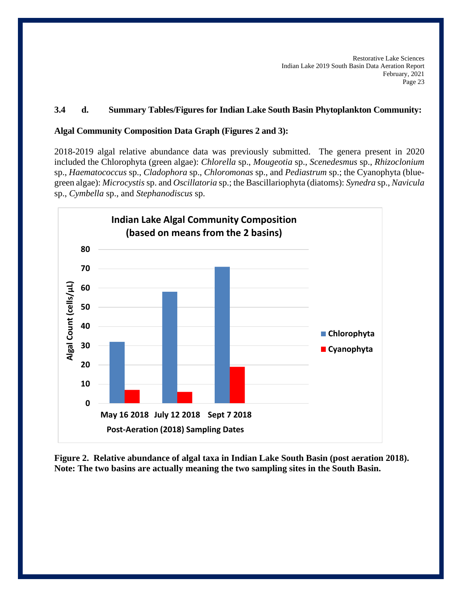# **3.4 d. Summary Tables/Figures for Indian Lake South Basin Phytoplankton Community:**

## **Algal Community Composition Data Graph (Figures 2 and 3):**

2018-2019 algal relative abundance data was previously submitted. The genera present in 2020 included the Chlorophyta (green algae): *Chlorella* sp., *Mougeotia* sp., *Scenedesmus* sp., *Rhizoclonium* sp., *Haematococcus* sp., *Cladophora* sp., *Chloromonas* sp., and *Pediastrum* sp.; the Cyanophyta (bluegreen algae): *Microcystis* sp. and *Oscillatoria* sp.; the Bascillariophyta (diatoms): *Synedra* sp., *Navicula* sp., *Cymbella* sp., and *Stephanodiscus* sp.



**Figure 2. Relative abundance of algal taxa in Indian Lake South Basin (post aeration 2018). Note: The two basins are actually meaning the two sampling sites in the South Basin.**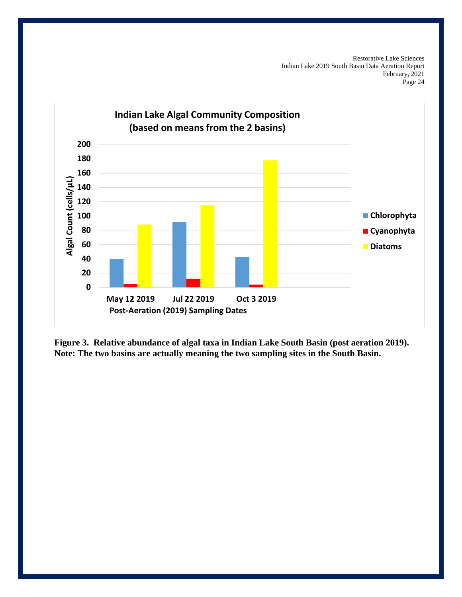

**Figure 3. Relative abundance of algal taxa in Indian Lake South Basin (post aeration 2019). Note: The two basins are actually meaning the two sampling sites in the South Basin.**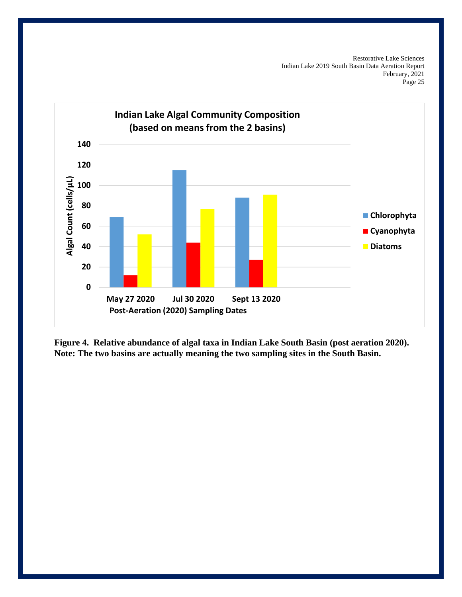

**Figure 4. Relative abundance of algal taxa in Indian Lake South Basin (post aeration 2020). Note: The two basins are actually meaning the two sampling sites in the South Basin.**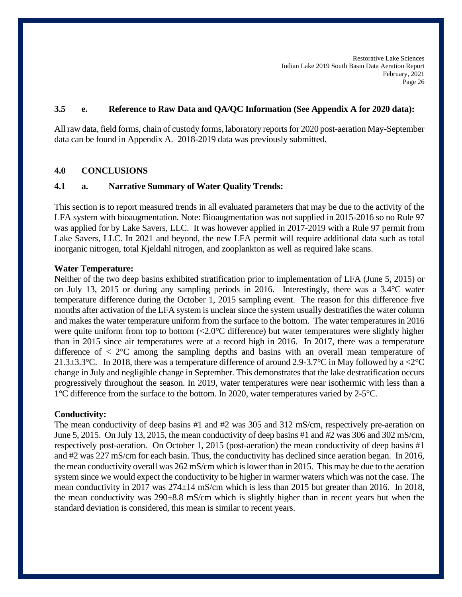# **3.5 e. Reference to Raw Data and QA/QC Information (See Appendix A for 2020 data):**

All raw data, field forms, chain of custody forms, laboratory reports for 2020 post-aeration May-September data can be found in Appendix A. 2018-2019 data was previously submitted.

#### **4.0 CONCLUSIONS**

### **4.1 a. Narrative Summary of Water Quality Trends:**

This section is to report measured trends in all evaluated parameters that may be due to the activity of the LFA system with bioaugmentation. Note: Bioaugmentation was not supplied in 2015-2016 so no Rule 97 was applied for by Lake Savers, LLC. It was however applied in 2017-2019 with a Rule 97 permit from Lake Savers, LLC. In 2021 and beyond, the new LFA permit will require additional data such as total inorganic nitrogen, total Kjeldahl nitrogen, and zooplankton as well as required lake scans.

#### **Water Temperature:**

Neither of the two deep basins exhibited stratification prior to implementation of LFA (June 5, 2015) or on July 13, 2015 or during any sampling periods in 2016. Interestingly, there was a 3.4°C water temperature difference during the October 1, 2015 sampling event. The reason for this difference five months after activation of the LFA system is unclear since the system usually destratifies the water column and makes the water temperature uniform from the surface to the bottom. The water temperatures in 2016 were quite uniform from top to bottom (<2.0°C difference) but water temperatures were slightly higher than in 2015 since air temperatures were at a record high in 2016. In 2017, there was a temperature difference of  $\langle 2^{\circ}$ C among the sampling depths and basins with an overall mean temperature of 21.3 $\pm$ 3.3°C. In 2018, there was a temperature difference of around 2.9-3.7°C in May followed by a <2°C change in July and negligible change in September. This demonstrates that the lake destratification occurs progressively throughout the season. In 2019, water temperatures were near isothermic with less than a 1°C difference from the surface to the bottom. In 2020, water temperatures varied by 2-5°C.

#### **Conductivity:**

The mean conductivity of deep basins #1 and #2 was 305 and 312 mS/cm, respectively pre-aeration on June 5, 2015. On July 13, 2015, the mean conductivity of deep basins #1 and #2 was 306 and 302 mS/cm, respectively post-aeration. On October 1, 2015 (post-aeration) the mean conductivity of deep basins #1 and #2 was 227 mS/cm for each basin. Thus, the conductivity has declined since aeration began. In 2016, the mean conductivity overall was 262 mS/cm which is lower than in 2015. This may be due to the aeration system since we would expect the conductivity to be higher in warmer waters which was not the case. The mean conductivity in 2017 was 274±14 mS/cm which is less than 2015 but greater than 2016. In 2018, the mean conductivity was 290±8.8 mS/cm which is slightly higher than in recent years but when the standard deviation is considered, this mean is similar to recent years.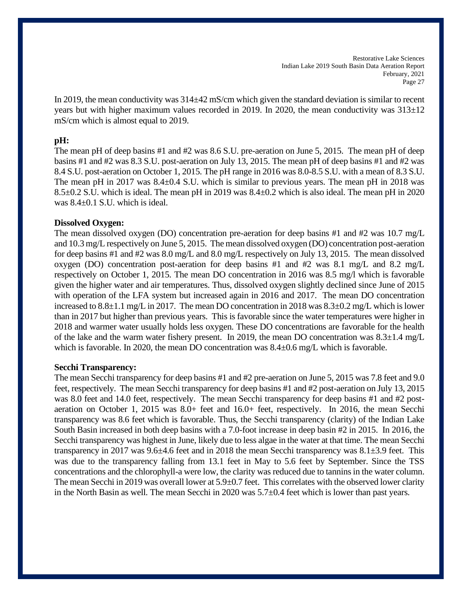In 2019, the mean conductivity was  $314\pm42$  mS/cm which given the standard deviation is similar to recent years but with higher maximum values recorded in 2019. In 2020, the mean conductivity was  $313\pm12$ mS/cm which is almost equal to 2019.

#### **pH:**

The mean pH of deep basins #1 and #2 was 8.6 S.U. pre-aeration on June 5, 2015. The mean pH of deep basins #1 and #2 was 8.3 S.U. post-aeration on July 13, 2015. The mean pH of deep basins #1 and #2 was 8.4 S.U. post-aeration on October 1, 2015. The pH range in 2016 was 8.0-8.5 S.U. with a mean of 8.3 S.U. The mean pH in 2017 was 8.4±0.4 S.U. which is similar to previous years. The mean pH in 2018 was 8.5±0.2 S.U. which is ideal. The mean pH in 2019 was 8.4±0.2 which is also ideal. The mean pH in 2020 was 8.4±0.1 S.U. which is ideal.

#### **Dissolved Oxygen:**

The mean dissolved oxygen (DO) concentration pre-aeration for deep basins #1 and #2 was 10.7 mg/L and 10.3 mg/L respectively on June 5, 2015. The mean dissolved oxygen (DO) concentration post-aeration for deep basins #1 and #2 was 8.0 mg/L and 8.0 mg/L respectively on July 13, 2015. The mean dissolved oxygen (DO) concentration post-aeration for deep basins #1 and #2 was 8.1 mg/L and 8.2 mg/L respectively on October 1, 2015. The mean DO concentration in 2016 was 8.5 mg/l which is favorable given the higher water and air temperatures. Thus, dissolved oxygen slightly declined since June of 2015 with operation of the LFA system but increased again in 2016 and 2017. The mean DO concentration increased to 8.8±1.1 mg/L in 2017. The mean DO concentration in 2018 was 8.3±0.2 mg/L which is lower than in 2017 but higher than previous years. This is favorable since the water temperatures were higher in 2018 and warmer water usually holds less oxygen. These DO concentrations are favorable for the health of the lake and the warm water fishery present. In 2019, the mean DO concentration was 8.3±1.4 mg/L which is favorable. In 2020, the mean DO concentration was  $8.4\pm0.6$  mg/L which is favorable.

#### **Secchi Transparency:**

The mean Secchi transparency for deep basins #1 and #2 pre-aeration on June 5, 2015 was 7.8 feet and 9.0 feet, respectively. The mean Secchi transparency for deep basins #1 and #2 post-aeration on July 13, 2015 was 8.0 feet and 14.0 feet, respectively. The mean Secchi transparency for deep basins #1 and #2 postaeration on October 1, 2015 was 8.0+ feet and 16.0+ feet, respectively. In 2016, the mean Secchi transparency was 8.6 feet which is favorable. Thus, the Secchi transparency (clarity) of the Indian Lake South Basin increased in both deep basins with a 7.0-foot increase in deep basin #2 in 2015. In 2016, the Secchi transparency was highest in June, likely due to less algae in the water at that time. The mean Secchi transparency in 2017 was 9.6±4.6 feet and in 2018 the mean Secchi transparency was 8.1±3.9 feet. This was due to the transparency falling from 13.1 feet in May to 5.6 feet by September. Since the TSS concentrations and the chlorophyll-a were low, the clarity was reduced due to tannins in the water column. The mean Secchi in 2019 was overall lower at 5.9±0.7 feet. This correlates with the observed lower clarity in the North Basin as well. The mean Secchi in 2020 was 5.7±0.4 feet which is lower than past years.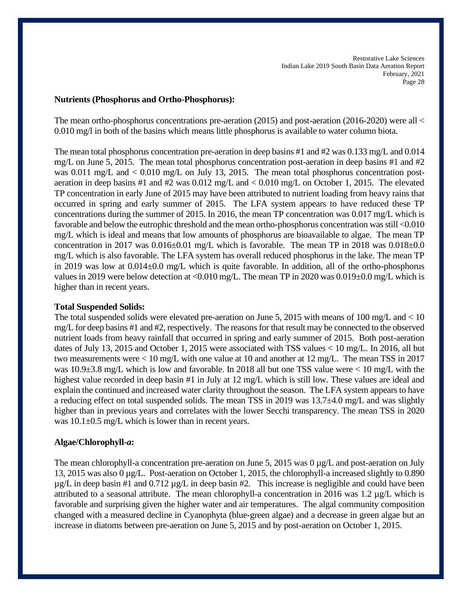#### **Nutrients (Phosphorus and Ortho-Phosphorus):**

The mean ortho-phosphorus concentrations pre-aeration (2015) and post-aeration (2016-2020) were all < 0.010 mg/l in both of the basins which means little phosphorus is available to water column biota.

The mean total phosphorus concentration pre-aeration in deep basins #1 and #2 was 0.133 mg/L and 0.014 mg/L on June 5, 2015. The mean total phosphorus concentration post-aeration in deep basins #1 and #2 was 0.011 mg/L and < 0.010 mg/L on July 13, 2015. The mean total phosphorus concentration postaeration in deep basins #1 and #2 was 0.012 mg/L and < 0.010 mg/L on October 1, 2015. The elevated TP concentration in early June of 2015 may have been attributed to nutrient loading from heavy rains that occurred in spring and early summer of 2015. The LFA system appears to have reduced these TP concentrations during the summer of 2015. In 2016, the mean TP concentration was 0.017 mg/L which is favorable and below the eutrophic threshold and the mean ortho-phosphorus concentration was still <0.010 mg/L which is ideal and means that low amounts of phosphorus are bioavailable to algae. The mean TP concentration in 2017 was  $0.016\pm0.01$  mg/L which is favorable. The mean TP in 2018 was  $0.018\pm0.01$ mg/L which is also favorable. The LFA system has overall reduced phosphorus in the lake. The mean TP in 2019 was low at 0.014±0.0 mg/L which is quite favorable. In addition, all of the ortho-phosphorus values in 2019 were below detection at <0.010 mg/L. The mean TP in 2020 was 0.019±0.0 mg/L which is higher than in recent years.

## **Total Suspended Solids:**

The total suspended solids were elevated pre-aeration on June 5, 2015 with means of 100 mg/L and < 10 mg/L for deep basins #1 and #2, respectively. The reasons for that result may be connected to the observed nutrient loads from heavy rainfall that occurred in spring and early summer of 2015. Both post-aeration dates of July 13, 2015 and October 1, 2015 were associated with TSS values < 10 mg/L. In 2016, all but two measurements were < 10 mg/L with one value at 10 and another at 12 mg/L. The mean TSS in 2017 was  $10.9\pm3.8$  mg/L which is low and favorable. In 2018 all but one TSS value were  $< 10$  mg/L with the highest value recorded in deep basin #1 in July at 12 mg/L which is still low. These values are ideal and explain the continued and increased water clarity throughout the season. The LFA system appears to have a reducing effect on total suspended solids. The mean TSS in 2019 was 13.7±4.0 mg/L and was slightly higher than in previous years and correlates with the lower Secchi transparency. The mean TSS in 2020 was  $10.1\pm0.5$  mg/L which is lower than in recent years.

## **Algae/Chlorophyll-***a***:**

The mean chlorophyll-a concentration pre-aeration on June 5, 2015 was 0  $\mu$ g/L and post-aeration on July 13, 2015 was also 0 µg/L. Post-aeration on October 1, 2015, the chlorophyll-a increased slightly to 0.890  $\mu$ g/L in deep basin #1 and 0.712  $\mu$ g/L in deep basin #2. This increase is negligible and could have been attributed to a seasonal attribute. The mean chlorophyll-a concentration in 2016 was 1.2 µg/L which is favorable and surprising given the higher water and air temperatures. The algal community composition changed with a measured decline in Cyanophyta (blue-green algae) and a decrease in green algae but an increase in diatoms between pre-aeration on June 5, 2015 and by post-aeration on October 1, 2015.